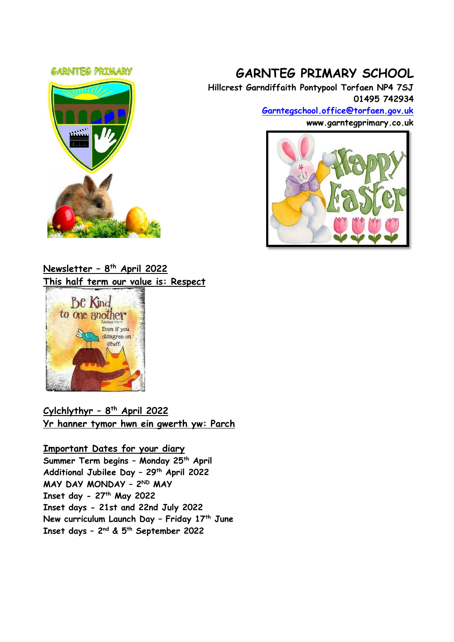#### **GARNTEG PRIMARY**



# **GARNTEG PRIMARY SCHOOL**

**Hillcrest Garndiffaith Pontypool Torfaen NP4 7SJ 01495 742934**

> **[Garntegschool.office@torfaen.gov.uk](mailto:Garntegschool.office@torfaen.gov.uk) www.garntegprimary.co.uk**



# **Newsletter – 8 th April 2022 This half term our value is: Respect**



# **Cylchlythyr – 8 th April 2022 Yr hanner tymor hwn ein gwerth yw: Parch**

## **Important Dates for your diary Summer Term begins – Monday 25th April Additional Jubilee Day – 29th April 2022 MAY DAY MONDAY – 2 ND MAY Inset day - 27th May 2022 Inset days - 21st and 22nd July 2022 New curriculum Launch Day – Friday 17th June Inset days – 2 nd & 5th September 2022**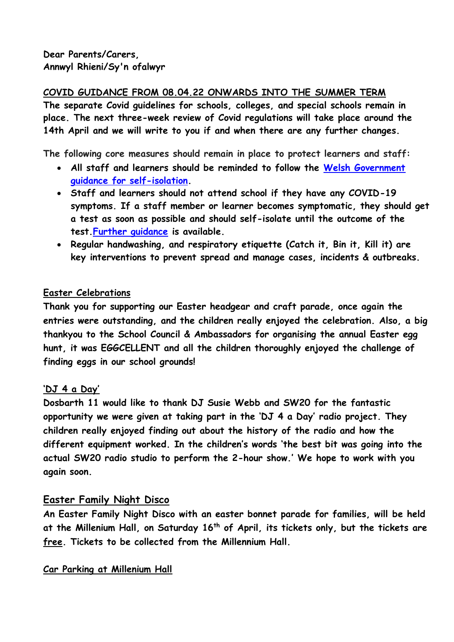# **COVID GUIDANCE FROM 08.04.22 ONWARDS INTO THE SUMMER TERM**

**The separate Covid guidelines for schools, colleges, and special schools remain in place. The next three-week review of Covid regulations will take place around the 14th April and we will write to you if and when there are any further changes.**

**The following core measures should remain in place to protect learners and staff:** 

- **All staff and learners should be reminded to follow the [Welsh Government](https://gov.wales/self-isolation)  [guidance for self-isolation.](https://gov.wales/self-isolation)**
- **Staff and learners should not attend school if they have any COVID-19 symptoms. If a staff member or learner becomes symptomatic, they should get a test as soon as possible and should self-isolate until the outcome of the test[.Further guidance](https://gov.wales/self-isolation) is available.**
- **Regular handwashing, and respiratory etiquette (Catch it, Bin it, Kill it) are key interventions to prevent spread and manage cases, incidents & outbreaks.**

# **Easter Celebrations**

**Thank you for supporting our Easter headgear and craft parade, once again the entries were outstanding, and the children really enjoyed the celebration. Also, a big thankyou to the School Council & Ambassadors for organising the annual Easter egg hunt, it was EGGCELLENT and all the children thoroughly enjoyed the challenge of finding eggs in our school grounds!**

# **'DJ 4 a Day'**

**Dosbarth 11 would like to thank DJ Susie Webb and SW20 for the fantastic opportunity we were given at taking part in the 'DJ 4 a Day' radio project. They children really enjoyed finding out about the history of the radio and how the different equipment worked. In the children's words 'the best bit was going into the actual SW20 radio studio to perform the 2-hour show.' We hope to work with you again soon.**

# **Easter Family Night Disco**

**An Easter Family Night Disco with an easter bonnet parade for families, will be held at the Millenium Hall, on Saturday 16th of April, its tickets only, but the tickets are free. Tickets to be collected from the Millennium Hall.**

**Car Parking at Millenium Hall**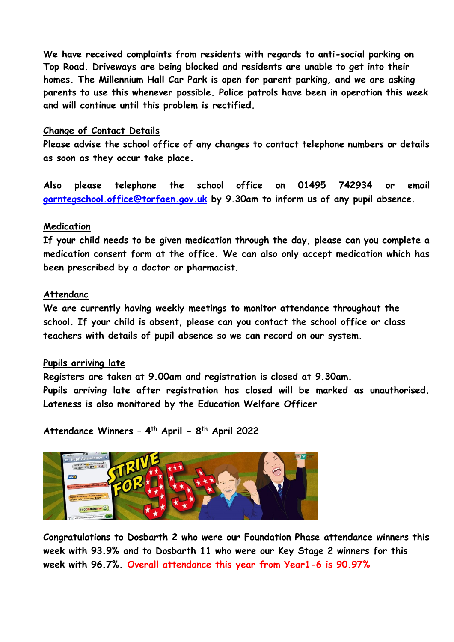**We have received complaints from residents with regards to anti-social parking on Top Road. Driveways are being blocked and residents are unable to get into their homes. The Millennium Hall Car Park is open for parent parking, and we are asking parents to use this whenever possible. Police patrols have been in operation this week and will continue until this problem is rectified.**

### **Change of Contact Details**

**Please advise the school office of any changes to contact telephone numbers or details as soon as they occur take place.** 

**Also please telephone the school office on 01495 742934 or email [garntegschool.office@torfaen.gov.uk](mailto:garntegschool.office@torfaen.gov.uk) by 9.30am to inform us of any pupil absence.**

### **Medication**

**If your child needs to be given medication through the day, please can you complete a medication consent form at the office. We can also only accept medication which has been prescribed by a doctor or pharmacist.**

#### **Attendanc**

**We are currently having weekly meetings to monitor attendance throughout the school. If your child is absent, please can you contact the school office or class teachers with details of pupil absence so we can record on our system.**

#### **Pupils arriving late**

**Registers are taken at 9.00am and registration is closed at 9.30am. Pupils arriving late after registration has closed will be marked as unauthorised. Lateness is also monitored by the Education Welfare Officer**

**Attendance Winners – 4 th April - 8 th April 2022**



**Congratulations to Dosbarth 2 who were our Foundation Phase attendance winners this week with 93.9% and to Dosbarth 11 who were our Key Stage 2 winners for this week with 96.7%. Overall attendance this year from Year1-6 is 90.97%**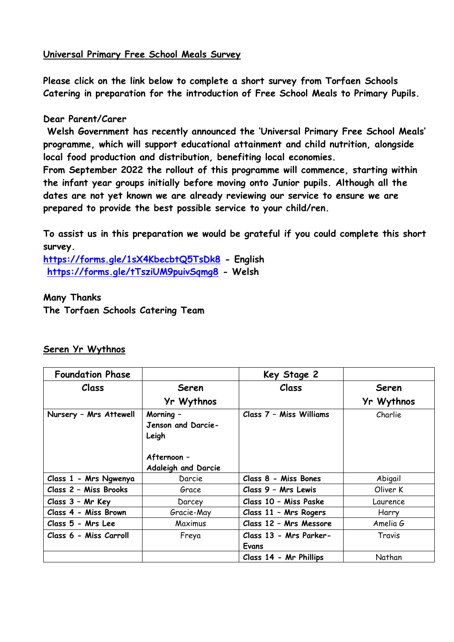### **Universal Primary Free School Meals Survey**

**Please click on the link below to complete a short survey from Torfaen Schools Catering in preparation for the introduction of Free School Meals to Primary Pupils.**

### **Dear Parent/Carer**

**Welsh Government has recently announced the 'Universal Primary Free School Meals' programme, which will support educational attainment and child nutrition, alongside local food production and distribution, benefiting local economies.** 

**From September 2022 the rollout of this programme will commence, starting within the infant year groups initially before moving onto Junior pupils. Although all the dates are not yet known we are already reviewing our service to ensure we are prepared to provide the best possible service to your child/ren.**

**To assist us in this preparation we would be grateful if you could complete this short survey.**

**[https://forms.gle/1sX4KbecbtQ5TsDk8](https://eur03.safelinks.protection.outlook.com/?url=https%3A%2F%2Fforms.gle%2F1sX4KbecbtQ5TsDk8&data=04%7C01%7CSharron.Williams%40torfaen.gov.uk%7Cc9c206bf0a0948d1d32308da17a932cf%7C2c4d0079c52c4bb3b3cad8eaf1b6b7d5%7C0%7C0%7C637848312717821631%7CUnknown%7CTWFpbGZsb3d8eyJWIjoiMC4wLjAwMDAiLCJQIjoiV2luMzIiLCJBTiI6Ik1haWwiLCJXVCI6Mn0%3D%7C3000&sdata=D7ZdZtCLA%2B2eZ3ueh8aQoMQ943iXBLQ%2FX8xKzoqVWSg%3D&reserved=0) - English [https://forms.gle/tTsziUM9puivSqmg8](https://eur03.safelinks.protection.outlook.com/?url=https%3A%2F%2Fforms.gle%2FtTsziUM9puivSqmg8&data=04%7C01%7CSharron.Williams%40torfaen.gov.uk%7Cc9c206bf0a0948d1d32308da17a932cf%7C2c4d0079c52c4bb3b3cad8eaf1b6b7d5%7C0%7C0%7C637848312717821631%7CUnknown%7CTWFpbGZsb3d8eyJWIjoiMC4wLjAwMDAiLCJQIjoiV2luMzIiLCJBTiI6Ik1haWwiLCJXVCI6Mn0%3D%7C3000&sdata=%2BijEk5dk%2Bdh774TjDN5I4x7HE2uuhu2a8mOFOnhw65s%3D&reserved=0) - Welsh**

**Many Thanks The Torfaen Schools Catering Team**

| <b>Foundation Phase</b> |                                                                                       | Key Stage 2             |            |
|-------------------------|---------------------------------------------------------------------------------------|-------------------------|------------|
| <b>Class</b>            | <b>Seren</b>                                                                          | Class                   | Seren      |
|                         | Yr Wythnos                                                                            |                         | Yr Wythnos |
| Nursery - Mrs Attewell  | Morning -<br>Jenson and Darcie-<br>Leigh<br>Afternoon -<br><b>Adaleigh and Darcie</b> | Class 7 - Miss Williams | Charlie    |
| Class 1 - Mrs Ngwenya   | Darcie                                                                                | Class 8 - Miss Bones    | Abigail    |
| Class 2 - Miss Brooks   | Grace                                                                                 | Class 9 - Mrs Lewis     | Oliver K   |
| Class 3 - Mr Key        | Darcey                                                                                | Class 10 - Miss Paske   | Laurence   |
| Class 4 - Miss Brown    | Gracie-May                                                                            | Class 11 - Mrs Rogers   | Harry      |
| Class 5 - Mrs Lee       | Maximus                                                                               | Class 12 - Mrs Messore  | Amelia G   |
| Class 6 - Miss Carroll  | Freya                                                                                 | Class 13 - Mrs Parker-  | Travis     |
|                         |                                                                                       | Evans                   |            |
|                         |                                                                                       | Class 14 - Mr Phillips  | Nathan     |

### **Seren Yr Wythnos**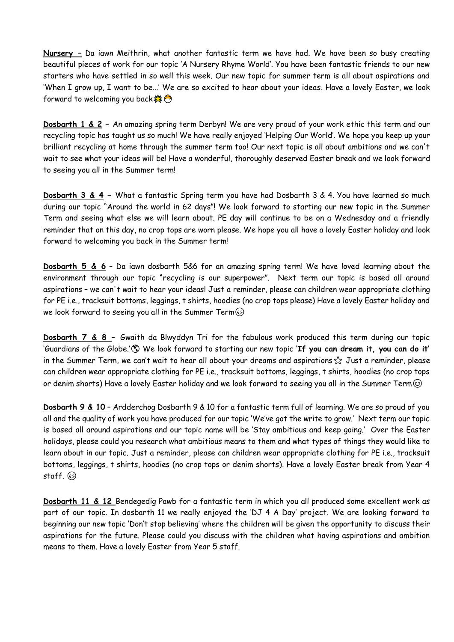**Nursery –** Da iawn Meithrin, what another fantastic term we have had. We have been so busy creating beautiful pieces of work for our topic 'A Nursery Rhyme World'. You have been fantastic friends to our new starters who have settled in so well this week. Our new topic for summer term is all about aspirations and 'When I grow up, I want to be...' We are so excited to hear about your ideas. Have a lovely Easter, we look forward to welcoming you back &

**Dosbarth 1 & 2 –** An amazing spring term Derbyn! We are very proud of your work ethic this term and our recycling topic has taught us so much! We have really enjoyed 'Helping Our World'. We hope you keep up your brilliant recycling at home through the summer term too! Our next topic is all about ambitions and we can't wait to see what your ideas will be! Have a wonderful, thoroughly deserved Easter break and we look forward to seeing you all in the Summer term!

**Dosbarth 3 & 4 –** What a fantastic Spring term you have had Dosbarth 3 & 4. You have learned so much during our topic "Around the world in 62 days"! We look forward to starting our new topic in the Summer Term and seeing what else we will learn about. PE day will continue to be on a Wednesday and a friendly reminder that on this day, no crop tops are worn please. We hope you all have a lovely Easter holiday and look forward to welcoming you back in the Summer term!

**Dosbarth 5 & 6** – Da iawn dosbarth 5&6 for an amazing spring term! We have loved learning about the environment through our topic "recycling is our superpower". Next term our topic is based all around aspirations – we can't wait to hear your ideas! Just a reminder, please can children wear appropriate clothing for PE i.e., tracksuit bottoms, leggings, t shirts, hoodies (no crop tops please) Have a lovely Easter holiday and we look forward to seeing you all in the Summer Term  $\odot$ 

**Dosbarth 7 & 8 –** Gwaith da Blwyddyn Tri for the fabulous work produced this term during our topic 'Guardians of the Globe.' (S) We look forward to starting our new topic 'If you can dream it, you can do it' in the Summer Term, we can't wait to hear all about your dreams and aspirations  $\frac{1}{\sqrt{2}}$  Just a reminder, please can children wear appropriate clothing for PE i.e., tracksuit bottoms, leggings, t shirts, hoodies (no crop tops or denim shorts) Have a lovely Easter holiday and we look forward to seeing you all in the Summer Term  $\circledcirc$ 

**Dosbarth 9 & 10** – Ardderchog Dosbarth 9 & 10 for a fantastic term full of learning. We are so proud of you all and the quality of work you have produced for our topic 'We've got the write to grow.' Next term our topic is based all around aspirations and our topic name will be 'Stay ambitious and keep going.' Over the Easter holidays, please could you research what ambitious means to them and what types of things they would like to learn about in our topic. Just a reminder, please can children wear appropriate clothing for PE i.e., tracksuit bottoms, leggings, t shirts, hoodies (no crop tops or denim shorts). Have a lovely Easter break from Year 4 staff. 3

**Dosbarth 11 & 12** Bendegedig Pawb for a fantastic term in which you all produced some excellent work as part of our topic. In dosbarth 11 we really enjoyed the 'DJ 4 A Day' project. We are looking forward to beginning our new topic 'Don't stop believing' where the children will be given the opportunity to discuss their aspirations for the future. Please could you discuss with the children what having aspirations and ambition means to them. Have a lovely Easter from Year 5 staff.